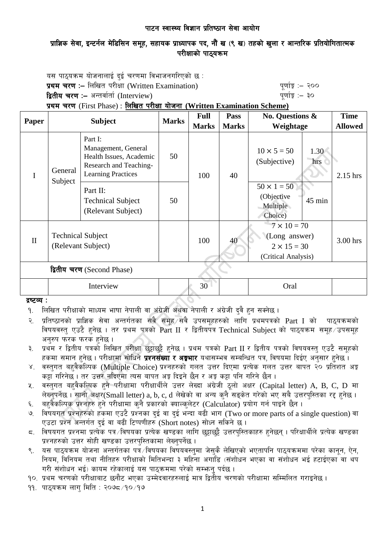# प्राज्ञिक सेवा, इन्टर्नल मेडिसिन समूह, सहायक प्राध्यापक पद, नौं ख (९ ख) तहको खुला र आन्तरिक प्रतियोगितात्मक परीक्षाको पाठयक्रम

यस पाठ्यक्रम योजनालाई दुई चरणमा विभाजनगरिएको छ : प्रथम चरण :– लिखित परीक्षा (Written Examination) kan have sent to the sense with  $\frac{1}{8}$  :– २०० द्वितीय चरण :– अन्तर्वार्ता (Interview) katalactic metal metal which we have the set of  $q$ णांङ्क :– ३०

प्रथम चरण (First Phase) : लिखित परीक्षा योजना (Written Examination Scheme)

| Paper                      | <b>Subject</b>                                 |                                                                                                                  | <b>Marks</b> | <b>Full</b>  | Pass         | <b>No. Questions &amp;</b><br>Weightage                                          |             | <b>Time</b>    |
|----------------------------|------------------------------------------------|------------------------------------------------------------------------------------------------------------------|--------------|--------------|--------------|----------------------------------------------------------------------------------|-------------|----------------|
|                            |                                                |                                                                                                                  |              | <b>Marks</b> | <b>Marks</b> |                                                                                  |             | <b>Allowed</b> |
| I                          | General<br>Subject                             | Part I:<br>Management, General<br>Health Issues, Academic<br>Research and Teaching-<br><b>Learning Practices</b> | 50           | 100          | 40           | $10 \times 5 = 50$<br>(Subjective)                                               | 1.30<br>hrs | 2.15 hrs       |
|                            |                                                | Part II:<br><b>Technical Subject</b><br>(Relevant Subject)                                                       | 50           |              |              | $50 \times 1 = 50$<br>(Objective<br>Multiple<br>Choice)                          | 45 min      |                |
| $\mathbf{I}$               | <b>Technical Subject</b><br>(Relevant Subject) |                                                                                                                  |              | 100          | 40           | $7 \times 10 = 70$<br>(Long answer)<br>$2 \times 15 = 30$<br>(Critical Analysis) |             | 3.00 hrs       |
| द्वितीय चरण (Second Phase) |                                                |                                                                                                                  |              |              |              |                                                                                  |             |                |
|                            | Interview                                      |                                                                                                                  |              | 30           |              | Oral                                                                             |             |                |

### द्रष्टव्य :

- १. लिखित परीक्षाको माध्यम भाषा नेपाली वा अंग्रेजी अथवा नेपाली र अंग्रेजी दुवै हुन सक्नेछ ।
- २. प्रतिष्ठानको प्राज्ञिक सेवा अन्तर्गतका सबै समूह सबै उपसमूहहरुको लागि प्रथमपत्रको Part I को पाठ्यक्रमको विषयवस्त एउटै हनेछ । तर प्रथम पत्रको Part II र द्वितीयपत्र Technical Subiect को पाठयक्रम समह उपसमह अनुरुप फरक फरक हुनेछ ।
- ३. प्रथम र द्वितीय पत्रको लिखित परीक्षा छुट्टाछुट्टै हुनेछ । प्रथम पत्रको Part II र द्वितीय पत्रको विषयवस्तु एउटै समूहको हकमा समान हुनेछ । परीक्षामा सोधिने **प्रश्नसंख्या र अङ्गभार** यथासम्भव सम्बन्धित पत्र, विषयमा दिईए अनुसार हुनेछ ।
- ४. वस्तुगत बहुवैकस्पिक (Multiple Choice) प्रश्नहरुको गलत उत्तर दिएमा प्रत्येक गलत उत्तर बापत २० प्रतिशत अङ्क कड़ा गरिनेछ । तर उत्तर नदिएमा त्यस बापत अड़ू दिइने छैन र अड़ू कड़ा पनि गरिने छैन ।
- ४. वस्तुगत बहवैकल्पिक हुने परीक्षामा परीक्षार्थीले उत्तर लेख्दा अंग्रेजी ठूलो अक्षर (Capital letter) A, B, C, D मा लेख्नुपर्नेछ । सानो अक्षर $\widetilde{\mathsf{S}}$ mall letter) a, b, c, d लेखेको वा अन्य कनै सड़केत गरेको भए सबै उत्तरपस्तिका रद्द हुनेछ ।
- ६. वहवैकल्पिक प्रश्नहरु हुने परीक्षामा कुनै प्रकारको क्याल्कुलेटर (Calculator) प्रयोग गर्न पाइने छैन ।
- ७. विषयगत प्रश्नहरुको हकमा एउटै प्रश्नका दुई वा दुई भन्दा बढी भाग (Two or more parts of a single question) वा एउटा प्रश्न अन्तर्गत दई वा बढी टिप्पणीहरु (Short notes) सोध्न सकिने छ।
- $\,$  faषयगत प्रश्नमा प्रत्येक पत्र विषयका प्रत्येक खण्डका लागि छट्टाछट्टै उत्तरपुस्तिकाहरु हुनेछन् । परिक्षार्थीले प्रत्येक खण्डका प्रश्नहरुको उत्तर सोही खण्डका उत्तरपुस्तिकामा लेख्नुपर्नेछ ।
- ९. यस पाठ्यक्रम योजना अन्तर्गतका पत्रं ∕विषयका विषयवस्त्**मा जेस्**कै लेखिएको भएतापनि पाठ्यक्रममा परेका कानून, ऐन, नियम, विनियम तथा नीतिहरु परीक्षाको मितिभन्दा ३ महिना अगाडि (संशोधन भएका वा संशोधन भई हटाईएका वा थप गरी संशोधन भई) कायम रहेकालाई यस पाठकममा परेको सम्फन पर्दछ ।
- <u>१०. प्रथम चरणको परीक्षाबाट छनौट भएका उम्मेदवारहरुलाई मात्र द्वितीय चरणको परीक्षामा सम्मिलित गराइनेछ ।</u>
- $99.$  पाठुयक्रम लाग मिति : २०७८ $\times$ 19 $\times$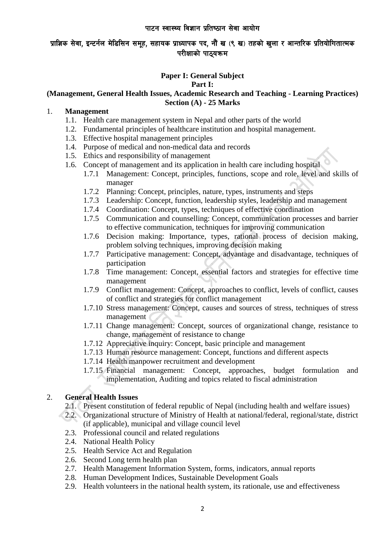# प्राज्ञिक सेवा, इन्टर्नल मेडिसिन समुह, सहायक प्राध्यापक पद, नौं ख (९ ख) तहको खुला र आन्तरिक प्रतियोगितात्मक परीक्षाको पाठयक्रम

## **Paper I: General Subject**

#### **Part I:**

### **(Management, General Health Issues, Academic Research and Teaching - Learning Practices) Section (A) - 25 Marks**

### 1. **Management**

- 1.1. Health care management system in Nepal and other parts of the world
- 1.2. Fundamental principles of healthcare institution and hospital management.
- 1.3. Effective hospital management principles
- 1.4. Purpose of medical and non-medical data and records
- 1.5. Ethics and responsibility of management
- 1.6. Concept of management and its application in health care including hospital
	- 1.7.1 Management: Concept, principles, functions, scope and role, level and skills of manager
	- 1.7.2 Planning: Concept, principles, nature, types, instruments and steps
	- 1.7.3 Leadership: Concept, function, leadership styles, leadership and management
	- 1.7.4 Coordination: Concept, types, techniques of effective coordination
	- 1.7.5 Communication and counselling: Concept, communication processes and barrier to effective communication, techniques for improving communication
	- 1.7.6 Decision making: Importance, types, rational process of decision making, problem solving techniques, improving decision making
	- 1.7.7 Participative management: Concept, advantage and disadvantage, techniques of participation
	- 1.7.8 Time management: Concept, essential factors and strategies for effective time management
	- 1.7.9 Conflict management: Concept, approaches to conflict, levels of conflict, causes of conflict and strategies for conflict management
	- 1.7.10 Stress management: Concept, causes and sources of stress, techniques of stress management
	- 1.7.11 Change management: Concept, sources of organizational change, resistance to change, management of resistance to change
	- 1.7.12 Appreciative inquiry: Concept, basic principle and management
	- 1.7.13 Human resource management: Concept, functions and different aspects
	- 1.7.14 Health manpower recruitment and development
	- 1.7.15 Financial management: Concept, approaches, budget formulation and implementation, Auditing and topics related to fiscal administration

### 2. **General Health Issues**

- 2.1. Present constitution of federal republic of Nepal (including health and welfare issues)
- 2.2. Organizational structure of Ministry of Health at national/federal, regional/state, district (if applicable), municipal and village council level
- 2.3. Professional council and related regulations
- 2.4. National Health Policy
- 2.5. Health Service Act and Regulation
- 2.6. Second Long term health plan
- 2.7. Health Management Information System, forms, indicators, annual reports
- 2.8. Human Development Indices, Sustainable Development Goals
- 2.9. Health volunteers in the national health system, its rationale, use and effectiveness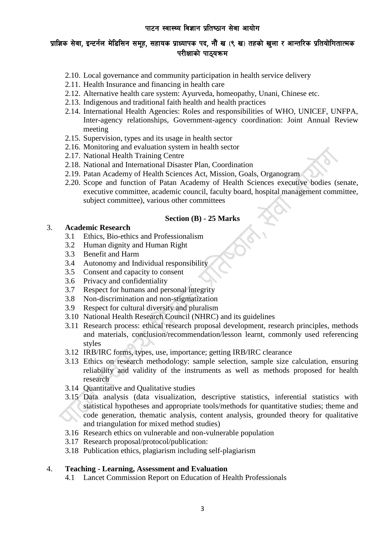# प्राज्ञिक सेवा, इन्टर्नल मेडिसिन समूह, सहायक प्राध्यापक पद, नौं ख (९ ख) तहको खुला र आन्तरिक प्रतियोगितात्मक परीक्षाको पाठ्यक्रम

- 2.10. Local governance and community participation in health service delivery
- 2.11. Health Insurance and financing in health care
- 2.12. Alternative health care system: Ayurveda, homeopathy, Unani, Chinese etc.
- 2.13. Indigenous and traditional faith health and health practices
- 2.14. International Health Agencies: Roles and responsibilities of WHO, UNICEF, UNFPA, Inter-agency relationships, Government-agency coordination: Joint Annual Review meeting
- 2.15. Supervision, types and its usage in health sector
- 2.16. Monitoring and evaluation system in health sector
- 2.17. National Health Training Centre
- 2.18. National and International Disaster Plan, Coordination
- 2.19. Patan Academy of Health Sciences Act, Mission, Goals, Organogram
- 2.20. Scope and function of Patan Academy of Health Sciences executive bodies (senate, executive committee, academic council, faculty board, hospital management committee, subject committee), various other committees

### **Section (B) - 25 Marks**

### 3. **Academic Research**

- 3.1 Ethics, Bio-ethics and Professionalism
- 3.2 Human dignity and Human Right
- 3.3 Benefit and Harm
- 3.4 Autonomy and Individual responsibility
- 3.5 Consent and capacity to consent
- 3.6 Privacy and confidentiality
- 3.7 Respect for humans and personal integrity
- 3.8 Non-discrimination and non-stigmatization
- 3.9 Respect for cultural diversity and pluralism
- 3.10 National Health Research Council (NHRC) and its guidelines
- 3.11 Research process: ethical research proposal development, research principles, methods and materials, conclusion/recommendation/lesson learnt, commonly used referencing styles
- 3.12 IRB/IRC forms, types, use, importance; getting IRB/IRC clearance
- 3.13 Ethics on research methodology: sample selection, sample size calculation, ensuring reliability and validity of the instruments as well as methods proposed for health research
- 3.14 Quantitative and Qualitative studies
- 3.15 Data analysis (data visualization, descriptive statistics, inferential statistics with statistical hypotheses and appropriate tools/methods for quantitative studies; theme and code generation, thematic analysis, content analysis, grounded theory for qualitative and triangulation for mixed method studies)
- 3.16 Research ethics on vulnerable and non-vulnerable population
- 3.17 Research proposal/protocol/publication:
- 3.18 Publication ethics, plagiarism including self-plagiarism

#### 4. **Teaching - Learning, Assessment and Evaluation**

4.1 Lancet Commission Report on Education of Health Professionals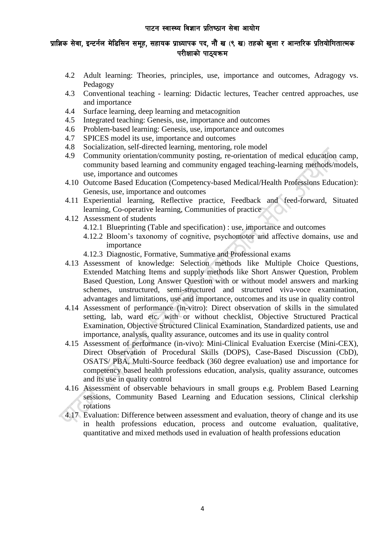# प्राज्ञिक सेवा, इन्टर्नल मेडिसिन समुह, सहायक प्राध्यापक पद, नौं ख (९ ख) तहको खुला र आन्तरिक प्रतियोगितात्मक परीक्षाको पाठयक्रम

- 4.2 Adult learning: Theories, principles, use, importance and outcomes, Adragogy vs. Pedagogy
- 4.3 Conventional teaching learning: Didactic lectures, Teacher centred approaches, use and importance
- 4.4 Surface learning, deep learning and metacognition
- 4.5 Integrated teaching: Genesis, use, importance and outcomes
- 4.6 Problem-based learning: Genesis, use, importance and outcomes
- 4.7 SPICES model its use, importance and outcomes
- 4.8 Socialization, self-directed learning, mentoring, role model
- 4.9 Community orientation/community posting, re-orientation of medical education camp, community based learning and community engaged teaching-learning methods/models, use, importance and outcomes
- 4.10 Outcome Based Education (Competency-based Medical/Health Professions Education): Genesis, use, importance and outcomes
- 4.11 Experiential learning, Reflective practice, Feedback and feed-forward, Situated learning, Co-operative learning, Communities of practice
- 4.12 Assessment of students
	- 4.12.1 Blueprinting (Table and specification) : use, importance and outcomes
	- 4.12.2 Bloom's taxonomy of cognitive, psychomotor and affective domains, use and importance
	- 4.12.3 Diagnostic, Formative, Summative and Professional exams
- 4.13 Assessment of knowledge: Selection methods like Multiple Choice Questions, Extended Matching Items and supply methods like Short Answer Question, Problem Based Question, Long Answer Question with or without model answers and marking schemes, unstructured, semi-structured and structured viva-voce examination, advantages and limitations, use and importance, outcomes and its use in quality control
- 4.14 Assessment of performance (in-vitro): Direct observation of skills in the simulated setting, lab, ward etc. with or without checklist, Objective Structured Practical Examination, Objective Structured Clinical Examination, Standardized patients, use and importance, analysis, quality assurance, outcomes and its use in quality control
- 4.15 Assessment of performance (in-vivo): Mini-Clinical Evaluation Exercise (Mini-CEX), Direct Observation of Procedural Skills (DOPS), Case-Based Discussion (CbD), OSATS/ PBA, Multi-Source feedback (360 degree evaluation) use and importance for competency based health professions education, analysis, quality assurance, outcomes and its use in quality control
- 4.16 Assessment of observable behaviours in small groups e.g. Problem Based Learning sessions, Community Based Learning and Education sessions, Clinical clerkship rotations
- 4.17 Evaluation: Difference between assessment and evaluation, theory of change and its use in health professions education, process and outcome evaluation, qualitative, quantitative and mixed methods used in evaluation of health professions education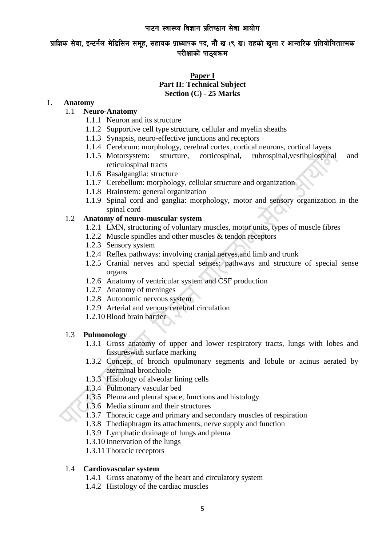## प्राज्ञिक सेवा, इन्टर्नल मेडिसिन समूह, सहायक प्राध्यापक पद, नौं ख (९ ख) तहको खुला र आन्तरिक प्रतियोगितात्मक परीक्षाको पाठयक्रम

### **Paper I Part II: Technical Subject Section (C) - 25 Marks**

### 1. **Anatomy**

## 1.1 **Neuro-Anatomy**

- 1.1.1 Neuron and its structure
- 1.1.2 Supportive cell type structure, cellular and myelin sheaths
- 1.1.3 Synapsis, neuro-effective junctions and receptors
- 1.1.4 Cerebrum: morphology, cerebral cortex, cortical neurons, cortical layers
- 1.1.5 Motorsystem: structure, corticospinal, rubrospinal, vestibulospinal and reticulospinal tracts
- 1.1.6 Basalganglia: structure
- 1.1.7 Cerebellum: morphology, cellular structure and organization
- 1.1.8 Brainstem: general organization
- 1.1.9 Spinal cord and ganglia: morphology, motor and sensory organization in the spinal cord

### 1.2 **Anatomy of neuro-muscular system**

- 1.2.1 LMN, structuring of voluntary muscles, motor units, types of muscle fibres
- 1.2.2 Muscle spindles and other muscles & tendon receptors
- 1.2.3 Sensory system
- 1.2.4 Reflex pathways: involving cranial nerves,and limb and trunk
- 1.2.5 Cranial nerves and special senses: pathways and structure of special sense organs
- 1.2.6 Anatomy of ventricular system and CSF production
- 1.2.7 Anatomy of meninges
- 1.2.8 Autonomic nervous system
- 1.2.9 Arterial and venous cerebral circulation
- 1.2.10 Blood brain barrier

#### 1.3 **Pulmonology**

- 1.3.1 Gross anatomy of upper and lower respiratory tracts, lungs with lobes and fissureswith surface marking
- 1.3.2 Concept of bronch opulmonary segments and lobule or acinus aerated by aterminal bronchiole
- 1.3.3 Histology of alveolar lining cells
- 1.3.4 Pulmonary vascular bed
- 1.3.5 Pleura and pleural space, functions and histology
- 1.3.6 Media stinum and their structures
- 1.3.7 Thoracic cage and primary and secondary muscles of respiration
- 1.3.8 Thediaphragm its attachments, nerve supply and function
- 1.3.9 Lymphatic drainage of lungs and pleura
- 1.3.10 Innervation of the lungs
- 1.3.11 Thoracic receptors

#### 1.4 **Cardiovascular system**

- 1.4.1 Gross anatomy of the heart and circulatory system
- 1.4.2 Histology of the cardiac muscles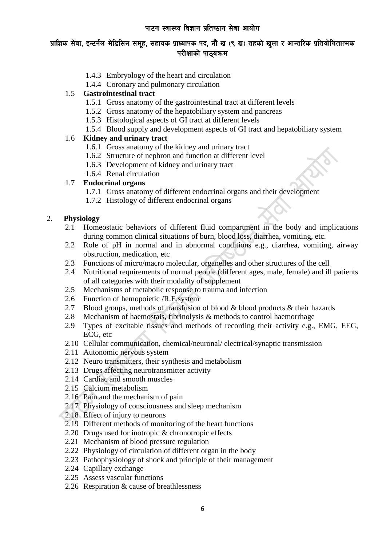# प्राज्ञिक सेवा, इन्टर्नल मेडिसिन समूह, सहायक प्राध्यापक पद, नौं ख (९ ख) तहको खुला र आन्तरिक प्रतियोगितात्मक परीक्षाको पाठ्यक्रम

- 1.4.3 Embryology of the heart and circulation
- 1.4.4 Coronary and pulmonary circulation

## 1.5 **Gastrointestinal tract**

- 1.5.1 Gross anatomy of the gastrointestinal tract at different levels
- 1.5.2 Gross anatomy of the hepatobiliary system and pancreas
- 1.5.3 Histological aspects of GI tract at different levels
- 1.5.4 Blood supply and development aspects of GI tract and hepatobiliary system

## 1.6 **Kidney and urinary tract**

- 1.6.1 Gross anatomy of the kidney and urinary tract
- 1.6.2 Structure of nephron and function at different level
- 1.6.3 Development of kidney and urinary tract
- 1.6.4 Renal circulation

### 1.7 **Endocrinal organs**

- 1.7.1 Gross anatomy of different endocrinal organs and their development
- 1.7.2 Histology of different endocrinal organs

## 2. **Physiology**

- 2.1 Homeostatic behaviors of different fluid compartment in the body and implications during common clinical situations of burn, blood loss, diarrhea, vomiting, etc.
- 2.2 Role of pH in normal and in abnormal conditions e.g., diarrhea, vomiting, airway obstruction, medication, etc
- 2.3 Functions of micro/macro molecular, organelles and other structures of the cell
- 2.4 Nutritional requirements of normal people (different ages, male, female) and ill patients of all categories with their modality of supplement
- 2.5 Mechanisms of metabolic response to trauma and infection
- 2.6 Function of hemopoietic /R.E.system
- 2.7 Blood groups, methods of transfusion of blood & blood products & their hazards
- 2.8 Mechanism of haemostais, fibrinolysis & methods to control haemorrhage
- 2.9 Types of excitable tissues and methods of recording their activity e.g., EMG, EEG, ECG, etc
- 2.10 Cellular communication, chemical/neuronal/ electrical/synaptic transmission
- 2.11 Autonomic nervous system
- 2.12 Neuro transmitters, their synthesis and metabolism
- 2.13 Drugs affecting neurotransmitter activity
- 2.14 Cardiac and smooth muscles
- 2.15 Calcium metabolism
- 2.16 Pain and the mechanism of pain
- 2.17 Physiology of consciousness and sleep mechanism
- 2.18 Effect of injury to neurons
- 2.19 Different methods of monitoring of the heart functions
- 2.20 Drugs used for inotropic & chronotropic effects
- 2.21 Mechanism of blood pressure regulation
- 2.22 Physiology of circulation of different organ in the body
- 2.23 Pathophysiology of shock and principle of their management
- 2.24 Capillary exchange
- 2.25 Assess vascular functions
- 2.26 Respiration & cause of breathlessness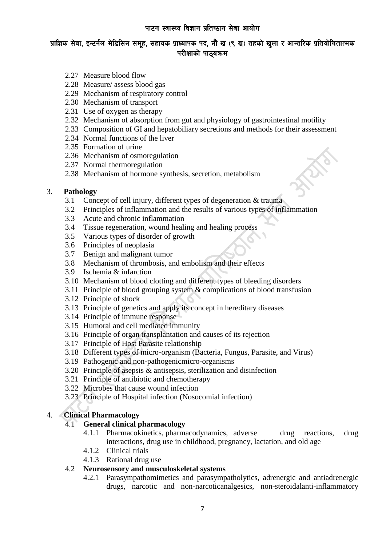- 2.27 Measure blood flow
- 2.28 Measure/ assess blood gas
- 2.29 Mechanism of respiratory control
- 2.30 Mechanism of transport
- 2.31 Use of oxygen as therapy
- 2.32 Mechanism of absorption from gut and physiology of gastrointestinal motility
- 2.33 Composition of GI and hepatobiliary secretions and methods for their assessment
- 2.34 Normal functions of the liver
- 2.35 Formation of urine
- 2.36 Mechanism of osmoregulation
- 2.37 Normal thermoregulation
- 2.38 Mechanism of hormone synthesis, secretion, metabolism

### 3. **Pathology**

- 3.1 Concept of cell injury, different types of degeneration & trauma
- 3.2 Principles of inflammation and the results of various types of inflammation
- 3.3 Acute and chronic inflammation
- 3.4 Tissue regeneration, wound healing and healing process
- 3.5 Various types of disorder of growth
- 3.6 Principles of neoplasia
- 3.7 Benign and malignant tumor
- 3.8 Mechanism of thrombosis, and embolism and their effects
- 3.9 Ischemia & infarction
- 3.10 Mechanism of blood clotting and different types of bleeding disorders
- 3.11 Principle of blood grouping system & complications of blood transfusion
- 3.12 Principle of shock
- 3.13 Principle of genetics and apply its concept in hereditary diseases
- 3.14 Principle of immune response
- 3.15 Humoral and cell mediated immunity
- 3.16 Principle of organ transplantation and causes of its rejection
- 3.17 Principle of Host Parasite relationship
- 3.18 Different types of micro-organism (Bacteria, Fungus, Parasite, and Virus)
- 3.19 Pathogenic and non-pathogenicmicro-organisms
- 3.20 Principle of asepsis & antisepsis, sterilization and disinfection
- 3.21 Principle of antibiotic and chemotherapy
- 3.22 Microbes that cause wound infection
- 3.23 Principle of Hospital infection (Nosocomial infection)

### 4. **Clinical Pharmacology**

### 4.1 **General clinical pharmacology**

- 4.1.1 Pharmacokinetics, pharmacodynamics, adverse drug reactions, drug interactions, drug use in childhood, pregnancy, lactation, and old age
- 4.1.2 Clinical trials
- 4.1.3 Rational drug use

### 4.2 **Neurosensory and musculoskeletal systems**

4.2.1 Parasympathomimetics and parasympatholytics, adrenergic and antiadrenergic drugs, narcotic and non-narcoticanalgesics, non-steroidalanti-inflammatory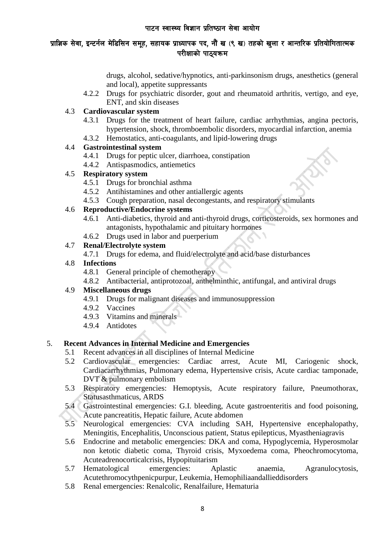# प्राज्ञिक सेवा, इन्टर्नल मेडिसिन समूह, सहायक प्राध्यापक पद, नौं ख (९ ख) तहको खुला र आन्तरिक प्रतियोगितात्मक परीक्षाको पाठ्यक्रम

drugs, alcohol, sedative/hypnotics, anti-parkinsonism drugs, anesthetics (general and local), appetite suppressants

4.2.2 Drugs for psychiatric disorder, gout and rheumatoid arthritis, vertigo, and eye, ENT, and skin diseases

## 4.3 **Cardiovascular system**

- 4.3.1 Drugs for the treatment of heart failure, cardiac arrhythmias, angina pectoris, hypertension, shock, thromboembolic disorders, myocardial infarction, anemia
- 4.3.2 Hemostatics, anti-coagulants, and lipid-lowering drugs

## 4.4 **Gastrointestinal system**

- 4.4.1 Drugs for peptic ulcer, diarrhoea, constipation
- 4.4.2 Antispasmodics, antiemetics

## 4.5 **Respiratory system**

- 4.5.1 Drugs for bronchial asthma
- 4.5.2 Antihistamines and other antiallergic agents
- 4.5.3 Cough preparation, nasal decongestants, and respiratory stimulants

## 4.6 **Reproductive/Endocrine systems**

- 4.6.1 Anti-diabetics, thyroid and anti-thyroid drugs, corticosteroids, sex hormones and antagonists, hypothalamic and pituitary hormones
- 4.6.2 Drugs used in labor and puerperium

## 4.7 **Renal/Electrolyte system**

4.7.1 Drugs for edema, and fluid/electrolyte and acid/base disturbances

## 4.8 **Infections**

- 4.8.1 General principle of chemotherapy
- 4.8.2 Antibacterial, antiprotozoal, anthelminthic, antifungal, and antiviral drugs

### 4.9 **Miscellaneous drugs**

- 4.9.1 Drugs for malignant diseases and immunosuppression
- 4.9.2 Vaccines
- 4.9.3 Vitamins and minerals
- 4.9.4 Antidotes

## 5. **Recent Advances in Internal Medicine and Emergencies**

- 5.1 Recent advances in all disciplines of Internal Medicine
- 5.2 Cardiovascular emergencies: Cardiac arrest, Acute MI, Cariogenic shock, Cardiacarrhythmias, Pulmonary edema, Hypertensive crisis, Acute cardiac tamponade, DVT & pulmonary embolism
- 5.3 Respiratory emergencies: Hemoptysis, Acute respiratory failure, Pneumothorax, Statusasthmaticus, ARDS
- 5.4 Gastrointestinal emergencies: G.I. bleeding, Acute gastroenteritis and food poisoning, Acute pancreatitis, Hepatic failure, Acute abdomen
- 5.5 Neurological emergencies: CVA including SAH, Hypertensive encephalopathy, Meningitis, Encephalitis, Unconscious patient, Status epilepticus, Myastheniagravis
- 5.6 Endocrine and metabolic emergencies: DKA and coma, Hypoglycemia, Hyperosmolar non ketotic diabetic coma, Thyroid crisis, Myxoedema coma, Pheochromocytoma, Acuteadrenocorticalcrisis, Hypopituitarism
- 5.7 Hematological emergencies: Aplastic anaemia, Agranulocytosis, Acutethromocythpenicpurpur, Leukemia, Hemophiliaandallieddisorders
- 5.8 Renal emergencies: Renalcolic, Renalfailure, Hematuria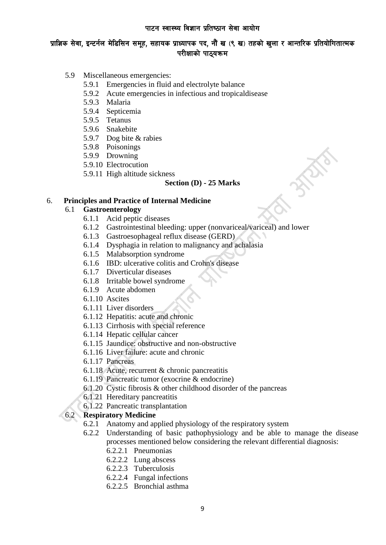- 5.9 Miscellaneous emergencies:
	- 5.9.1 Emergencies in fluid and electrolyte balance
	- 5.9.2 Acute emergencies in infectious and tropicaldisease
	- 5.9.3 Malaria
	- 5.9.4 Septicemia
	- 5.9.5 Tetanus
	- 5.9.6 Snakebite
	- 5.9.7 Dog bite & rabies
	- 5.9.8 Poisonings
	- 5.9.9 Drowning
	- 5.9.10 Electrocution
	- 5.9.11 High altitude sickness

### **Section (D) - 25 Marks**

### 6. **Principles and Practice of Internal Medicine**

### 6.1 **Gastroenterology**

- 6.1.1 Acid peptic diseases
- 6.1.2 Gastrointestinal bleeding: upper (nonvariceal/variceal) and lower
- 6.1.3 Gastroesophageal reflux disease (GERD)
- 6.1.4 Dysphagia in relation to malignancy and achalasia
- 6.1.5 Malabsorption syndrome
- 6.1.6 IBD: ulcerative colitis and Crohn's disease
- 6.1.7 Diverticular diseases
- 6.1.8 Irritable bowel syndrome
- 6.1.9 Acute abdomen
- 6.1.10 Ascites
- 6.1.11 Liver disorders
- 6.1.12 Hepatitis: acute and chronic
- 6.1.13 Cirrhosis with special reference
- 6.1.14 Hepatic cellular cancer
- 6.1.15 Jaundice: obstructive and non-obstructive
- 6.1.16 Liver failure: acute and chronic
- 6.1.17 Pancreas
- 6.1.18 Acute, recurrent & chronic pancreatitis
- 6.1.19 Pancreatic tumor (exocrine & endocrine)
- 6.1.20 Cystic fibrosis & other childhood disorder of the pancreas
- 6.1.21 Hereditary pancreatitis
- 6.1.22 Pancreatic transplantation

## 6.2 **Respiratory Medicine**

- 6.2.1 Anatomy and applied physiology of the respiratory system
- 6.2.2 Understanding of basic pathophysiology and be able to manage the disease processes mentioned below considering the relevant differential diagnosis:
	- 6.2.2.1 Pneumonias
	- 6.2.2.2 Lung abscess
	- 6.2.2.3 Tuberculosis
	- 6.2.2.4 Fungal infections
	- 6.2.2.5 Bronchial asthma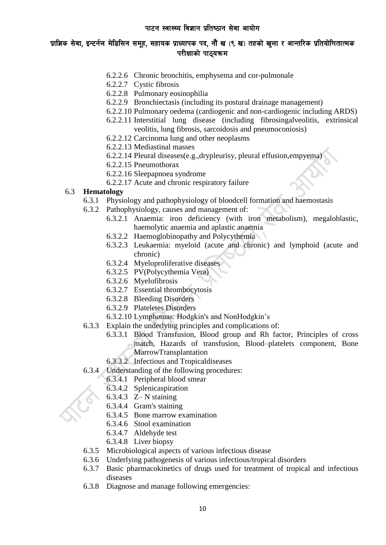## प्राज्ञिक सेवा, इन्टर्नल मेडिसिन समूह, सहायक प्राध्यापक पद, नौं ख (९ ख) तहको खुला र आन्तरिक प्रतियोगितात्मक परीक्षाको पाठयक्रम

- 6.2.2.6 Chronic bronchitis, emphysema and cor-pulmonale
- 6.2.2.7 Cystic fibrosis
- 6.2.2.8 Pulmonary eosinophilia
- 6.2.2.9 Bronchiectasis (including its postural drainage management)
- 6.2.2.10 Pulmonary oedema (cardiogenic and non-cardiogenic including ARDS)
- 6.2.2.11 Interstitial lung disease (including fibrosingalveolitis, extrinsical veolitis, lung fibrosis, sarcoidosis and pneumoconiosis)
- 6.2.2.12 Carcinoma lung and other neoplasms
- 6.2.2.13 Mediastinal masses
- 6.2.2.14 Pleural diseases(e.g.,drypleurisy, pleural effusion,empyema)
- 6.2.2.15 Pneumothorax
- 6.2.2.16 Sleepapnoea syndrome
- 6.2.2.17 Acute and chronic respiratory failure

### 6.3 **Hematology**

- 6.3.1 Physiology and pathophysiology of bloodcell formation and haemostasis
- 6.3.2 Pathophysiology, causes and management of:
	- 6.3.2.1 Anaemia: iron deficiency (with iron metabolism), megaloblastic, haemolytic anaemia and aplastic anaemia
	- 6.3.2.2 Haemoglobinopathy and Polycythemia
	- 6.3.2.3 Leukaemia: myeloid (acute and chronic) and lymphoid (acute and chronic)
	- 6.3.2.4 Myeloproliferative diseases
	- 6.3.2.5 PV(Polycythemia Vera)
	- 6.3.2.6 Myelofibrosis
	- 6.3.2.7 Essential thrombocytosis
	- 6.3.2.8 Bleeding Disorders
	- 6.3.2.9 Plateletes Disorders
	- 6.3.2.10 Lymphomas: Hodgkin's and NonHodgkin's
- 6.3.3 Explain the underlying principles and complications of:
	- 6.3.3.1 Blood Transfusion, Blood group and Rh factor, Principles of cross match, Hazards of transfusion, Blood–platelets component, Bone MarrowTransplantation
	- 6.3.3.2 Infectious and Tropicaldiseases
- 6.3.4 Understanding of the following procedures:
	- 6.3.4.1 Peripheral blood smear
	- 6.3.4.2 Splenicaspiration
	- 6.3.4.3 Z– N staining
	- 6.3.4.4 Gram's staining
	- 6.3.4.5 Bone marrow examination
	- 6.3.4.6 Stool examination
	- 6.3.4.7 Aldehyde test
	- 6.3.4.8 Liver biopsy
- 6.3.5 Microbiological aspects of various infectious disease
- 6.3.6 Underlying pathogenesis of various infectious/tropical disorders
- 6.3.7 Basic pharmacokinetics of drugs used for treatment of tropical and infectious diseases
- 6.3.8 Diagnose and manage following emergencies: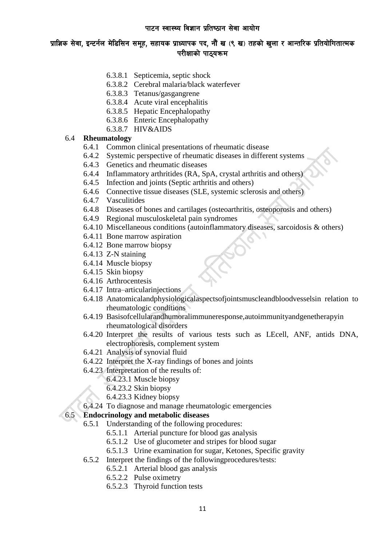- 6.3.8.1 Septicemia, septic shock
- 6.3.8.2 Cerebral malaria/black waterfever
- 6.3.8.3 Tetanus/gasgangrene
- 6.3.8.4 Acute viral encephalitis
- 6.3.8.5 Hepatic Encephalopathy
- 6.3.8.6 Enteric Encephalopathy
- 6.3.8.7 HIV&AIDS

#### 6.4 **Rheumatology**

- 6.4.1 Common clinical presentations of rheumatic disease
- 6.4.2 Systemic perspective of rheumatic diseases in different systems
- 6.4.3 Genetics and rheumatic diseases
- 6.4.4 Inflammatory arthritides (RA, SpA, crystal arthritis and others)
- 6.4.5 Infection and joints (Septic arthritis and others)
- 6.4.6 Connective tissue diseases (SLE, systemic sclerosis and others)
- 6.4.7 Vasculitides
- 6.4.8 Diseases of bones and cartilages (osteoarthritis, osteoporosis and others)
- 6.4.9 Regional musculoskeletal pain syndromes
- 6.4.10 Miscellaneous conditions (autoinflammatory diseases, sarcoidosis & others)
- 6.4.11 Bone marrow aspiration
- 6.4.12 Bone marrow biopsy
- 6.4.13 Z-N staining
- 6.4.14 Muscle biopsy
- 6.4.15 Skin biopsy
- 6.4.16 Arthrocentesis
- 6.4.17 Intra–articularinjections
- 6.4.18 Anatomicalandphysiologicalaspectsofjointsmuscleandbloodvesselsin relation to rheumatologic conditions
- 6.4.19 Basisofcellularandhumoralimmuneresponse,autoimmunityandgenetherapyin rheumatological disorders
- 6.4.20 Interpret the results of various tests such as LEcell, ANF, antids DNA, electrophoresis, complement system
- 6.4.21 Analysis of synovial fluid
- 6.4.22 Interpret the X-ray findings of bones and joints
- 6.4.23 Interpretation of the results of:
	- 6.4.23.1 Muscle biopsy
	- 6.4.23.2 Skin biopsy
	- 6.4.23.3 Kidney biopsy
- 6.4.24 To diagnose and manage rheumatologic emergencies

## 6.5 **Endocrinology and metabolic diseases**

- 6.5.1 Understanding of the following procedures:
	- 6.5.1.1 Arterial puncture for blood gas analysis
	- 6.5.1.2 Use of glucometer and stripes for blood sugar
	- 6.5.1.3 Urine examination for sugar, Ketones, Specific gravity
- 6.5.2 Interpret the findings of the followingprocedures/tests:
	- 6.5.2.1 Arterial blood gas analysis
	- 6.5.2.2 Pulse oximetry
	- 6.5.2.3 Thyroid function tests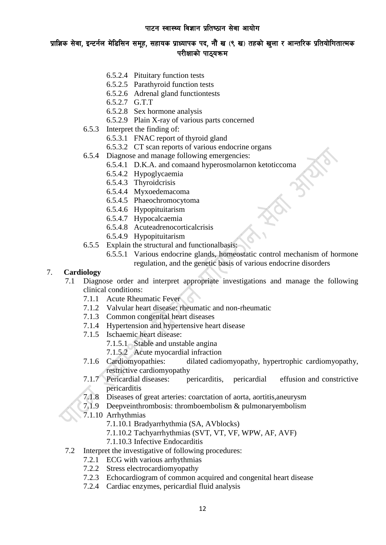## प्राज्ञिक सेवा, इन्टर्नल मेडिसिन समूह, सहायक प्राध्यापक पद, नौं ख (९ ख) तहको खुला र आन्तरिक प्रतियोगितात्मक परीक्षाको पाठयक्रम

- 6.5.2.4 Pituitary function tests
- 6.5.2.5 Parathyroid function tests
- 6.5.2.6 Adrenal gland functiontests
- 6.5.2.7 G.T.T
- 6.5.2.8 Sex hormone analysis
- 6.5.2.9 Plain X-ray of various parts concerned
- 6.5.3 Interpret the finding of:
	- 6.5.3.1 FNAC report of thyroid gland
	- 6.5.3.2 CT scan reports of various endocrine organs
- 6.5.4 Diagnose and manage following emergencies:
	- 6.5.4.1 D.K.A. and comaand hyperosmolarnon ketoticcoma
	- 6.5.4.2 Hypoglycaemia
	- 6.5.4.3 Thyroidcrisis
	- 6.5.4.4 Myxoedemacoma
	- 6.5.4.5 Phaeochromocytoma
	- 6.5.4.6 Hypopituitarism
	- 6.5.4.7 Hypocalcaemia
	- 6.5.4.8 Acuteadrenocorticalcrisis
	- 6.5.4.9 Hypopituitarism
- 6.5.5 Explain the structural and functionalbasis:
	- 6.5.5.1 Various endocrine glands, homeostatic control mechanism of hormone regulation, and the genetic basis of various endocrine disorders

### 7. **Cardiology**

- 7.1 Diagnose order and interpret appropriate investigations and manage the following clinical conditions:
	- 7.1.1 Acute Rheumatic Fever
	- 7.1.2 Valvular heart disease: rheumatic and non-rheumatic
	- 7.1.3 Common congenital heart diseases
	- 7.1.4 Hypertension and hypertensive heart disease
	- 7.1.5 Ischaemic heart disease:
		- 7.1.5.1 Stable and unstable angina
		- 7.1.5.2 Acute myocardial infraction
	- 7.1.6 Cardiomyopathies: dilated cadiomyopathy, hypertrophic cardiomyopathy, restrictive cardiomyopathy
	- 7.1.7 Pericardial diseases: pericarditis, pericardial effusion and constrictive pericarditis
	- 7.1.8 Diseases of great arteries: coarctation of aorta, aortitis,aneurysm
	- 7.1.9 Deepveinthrombosis: thromboembolism & pulmonaryembolism
	- 7.1.10 Arrhythmias
		- 7.1.10.1 Bradyarrhythmia (SA, AVblocks)
		- 7.1.10.2 Tachyarrhythmias (SVT, VT, VF, WPW, AF, AVF)
		- 7.1.10.3 Infective Endocarditis
- 7.2 Interpret the investigative of following procedures:
	- 7.2.1 ECG with various arrhythmias
	- 7.2.2 Stress electrocardiomyopathy
	- 7.2.3 Echocardiogram of common acquired and congenital heart disease
	- 7.2.4 Cardiac enzymes, pericardial fluid analysis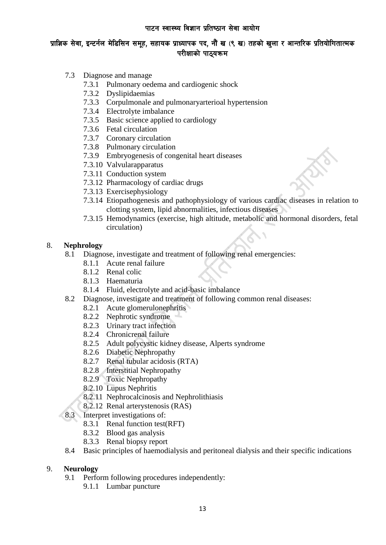- 7.3 Diagnose and manage
	- 7.3.1 Pulmonary oedema and cardiogenic shock
	- 7.3.2 Dyslipidaemias
	- 7.3.3 Corpulmonale and pulmonaryarterioal hypertension
	- 7.3.4 Electrolyte imbalance
	- 7.3.5 Basic science applied to cardiology
	- 7.3.6 Fetal circulation
	- 7.3.7 Coronary circulation
	- 7.3.8 Pulmonary circulation
	- 7.3.9 Embryogenesis of congenital heart diseases
	- 7.3.10 Valvularapparatus
	- 7.3.11 Conduction system
	- 7.3.12 Pharmacology of cardiac drugs
	- 7.3.13 Exercisephysiology
	- 7.3.14 Etiopathogenesis and pathophysiology of various cardiac diseases in relation to clotting system, lipid abnormalities, infectious diseases
	- 7.3.15 Hemodynamics (exercise, high altitude, metabolic and hormonal disorders, fetal circulation)

### 8. **Nephrology**

- 8.1 Diagnose, investigate and treatment of following renal emergencies:
	- 8.1.1 Acute renal failure
	- 8.1.2 Renal colic
	- 8.1.3 Haematuria
	- 8.1.4 Fluid, electrolyte and acid-basic imbalance
- 8.2 Diagnose, investigate and treatment of following common renal diseases:
	- 8.2.1 Acute glomerulonephritis
	- 8.2.2 Nephrotic syndrome
	- 8.2.3 Urinary tract infection
	- 8.2.4 Chronicrenal failure
	- 8.2.5 Adult polycystic kidney disease, Alperts syndrome
	- 8.2.6 Diabetic Nephropathy
	- 8.2.7 Renal tubular acidosis (RTA)
	- 8.2.8 Interstitial Nephropathy
	- 8.2.9 Toxic Nephropathy
	- 8.2.10 Lupus Nephritis
	- 8.2.11 Nephrocalcinosis and Nephrolithiasis
	- 8.2.12 Renal arterystenosis (RAS)
- 8.3 Interpret investigations of:
	- 8.3.1 Renal function test(RFT)
	- 8.3.2 Blood gas analysis
	- 8.3.3 Renal biopsy report
- 8.4 Basic principles of haemodialysis and peritoneal dialysis and their specific indications

#### 9. **Neurology**

- 9.1 Perform following procedures independently:
	- 9.1.1 Lumbar puncture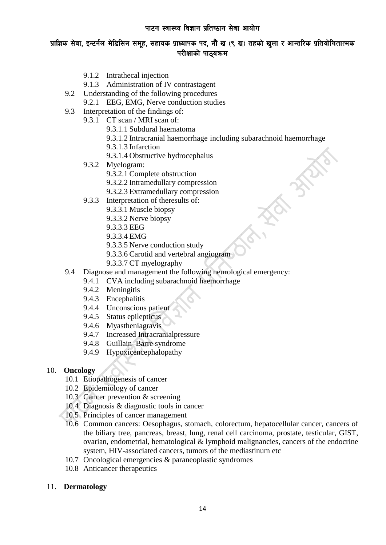# प्राज्ञिक सेवा, इन्टर्नल मेडिसिन समूह, सहायक प्राध्यापक पद, नौं ख (९ ख) तहको खुला र आन्तरिक प्रतियोगितात्मक परीक्षाको पाठयक्रम

- 9.1.2 Intrathecal injection
- 9.1.3 Administration of IV contrastagent
- 9.2 Understanding of the following procedures
	- 9.2.1 EEG, EMG, Nerve conduction studies
- 9.3 Interpretation of the findings of:
	- 9.3.1 CT scan / MRI scan of:
		- 9.3.1.1 Subdural haematoma
		- 9.3.1.2 Intracranial haemorrhage including subarachnoid haemorrhage
		- 9.3.1.3 Infarction
		- 9.3.1.4 Obstructive hydrocephalus
		- 9.3.2 Myelogram:
			- 9.3.2.1 Complete obstruction
			- 9.3.2.2 Intramedullary compression
			- 9.3.2.3 Extramedullary compression
	- 9.3.3 Interpretation of theresults of:
		- 9.3.3.1 Muscle biopsy
		- 9.3.3.2 Nerve biopsy
		- 9.3.3.3 EEG
		- 9.3.3.4 EMG
		- 9.3.3.5 Nerve conduction study
		- 9.3.3.6 Carotid and vertebral angiogram
		- 9.3.3.7 CT myelography
- 9.4 Diagnose and management the following neurological emergency:
	- 9.4.1 CVA including subarachnoid haemorrhage
		- 9.4.2 Meningitis
		- 9.4.3 Encephalitis
		- 9.4.4 Unconscious patient
		- 9.4.5 Status epilepticus
		- 9.4.6 Myastheniagravis
		- 9.4.7 Increased Intracranialpressure
	- 9.4.8 Guillain–Barre syndrome
	- 9.4.9 Hypoxicencephalopathy

#### 10. **Oncology**

- 10.1 Etiopathogenesis of cancer
- 10.2 Epidemiology of cancer
- 10.3 Cancer prevention & screening
- 10.4 Diagnosis & diagnostic tools in cancer
- 10.5 Principles of cancer management
- 10.6 Common cancers: Oesophagus, stomach, colorectum, hepatocellular cancer, cancers of the biliary tree, pancreas, breast, lung, renal cell carcinoma, prostate, testicular, GIST, ovarian, endometrial, hematological & lymphoid malignancies, cancers of the endocrine system, HIV-associated cancers, tumors of the mediastinum etc
- 10.7 Oncological emergencies & paraneoplastic syndromes
- 10.8 Anticancer therapeutics
- 11. **Dermatology**